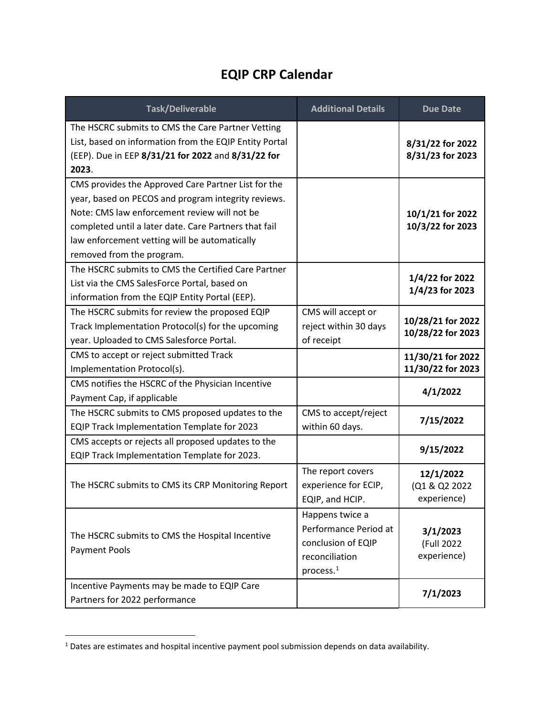## **EQIP CRP Calendar**

| Task/Deliverable                                                                                                                                                                                                                                                                                  | <b>Additional Details</b>                                                                                 | <b>Due Date</b>                           |
|---------------------------------------------------------------------------------------------------------------------------------------------------------------------------------------------------------------------------------------------------------------------------------------------------|-----------------------------------------------------------------------------------------------------------|-------------------------------------------|
| The HSCRC submits to CMS the Care Partner Vetting<br>List, based on information from the EQIP Entity Portal<br>(EEP). Due in EEP 8/31/21 for 2022 and 8/31/22 for<br>2023.                                                                                                                        |                                                                                                           | 8/31/22 for 2022<br>8/31/23 for 2023      |
| CMS provides the Approved Care Partner List for the<br>year, based on PECOS and program integrity reviews.<br>Note: CMS law enforcement review will not be<br>completed until a later date. Care Partners that fail<br>law enforcement vetting will be automatically<br>removed from the program. |                                                                                                           | 10/1/21 for 2022<br>10/3/22 for 2023      |
| The HSCRC submits to CMS the Certified Care Partner<br>List via the CMS SalesForce Portal, based on<br>information from the EQIP Entity Portal (EEP).                                                                                                                                             |                                                                                                           | 1/4/22 for 2022<br>1/4/23 for 2023        |
| The HSCRC submits for review the proposed EQIP<br>Track Implementation Protocol(s) for the upcoming<br>year. Uploaded to CMS Salesforce Portal.                                                                                                                                                   | CMS will accept or<br>reject within 30 days<br>of receipt                                                 | 10/28/21 for 2022<br>10/28/22 for 2023    |
| CMS to accept or reject submitted Track<br>Implementation Protocol(s).                                                                                                                                                                                                                            |                                                                                                           | 11/30/21 for 2022<br>11/30/22 for 2023    |
| CMS notifies the HSCRC of the Physician Incentive<br>Payment Cap, if applicable                                                                                                                                                                                                                   |                                                                                                           | 4/1/2022                                  |
| The HSCRC submits to CMS proposed updates to the<br>EQIP Track Implementation Template for 2023                                                                                                                                                                                                   | CMS to accept/reject<br>within 60 days.                                                                   | 7/15/2022                                 |
| CMS accepts or rejects all proposed updates to the<br>EQIP Track Implementation Template for 2023.                                                                                                                                                                                                |                                                                                                           | 9/15/2022                                 |
| The HSCRC submits to CMS its CRP Monitoring Report                                                                                                                                                                                                                                                | The report covers<br>experience for ECIP,<br>EQIP, and HCIP.                                              | 12/1/2022<br>(Q1 & Q2 2022<br>experience) |
| The HSCRC submits to CMS the Hospital Incentive<br><b>Payment Pools</b>                                                                                                                                                                                                                           | Happens twice a<br>Performance Period at<br>conclusion of EQIP<br>reconciliation<br>process. <sup>1</sup> | 3/1/2023<br>(Full 2022<br>experience)     |
| Incentive Payments may be made to EQIP Care<br>Partners for 2022 performance                                                                                                                                                                                                                      |                                                                                                           | 7/1/2023                                  |

<span id="page-0-0"></span><sup>&</sup>lt;sup>1</sup> Dates are estimates and hospital incentive payment pool submission depends on data availability.